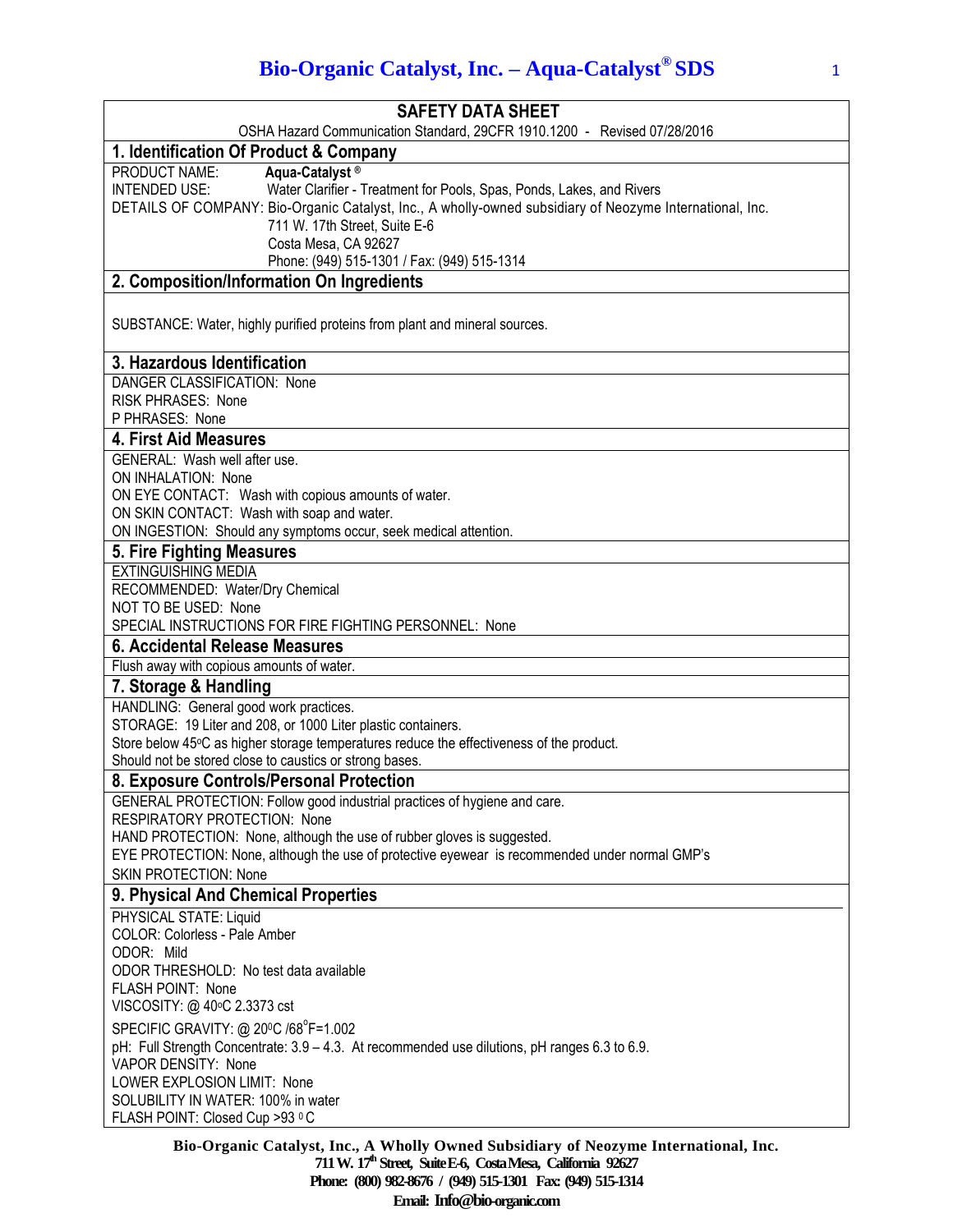# **Bio-Organic Catalyst, Inc. – Aqua-Catalyst® SDS** <sup>1</sup>

| <b>SAFETY DATA SHEET</b>                                                                                                                                                                                                                                                                                                                                         |
|------------------------------------------------------------------------------------------------------------------------------------------------------------------------------------------------------------------------------------------------------------------------------------------------------------------------------------------------------------------|
| OSHA Hazard Communication Standard, 29CFR 1910.1200 - Revised 07/28/2016                                                                                                                                                                                                                                                                                         |
| 1. Identification Of Product & Company                                                                                                                                                                                                                                                                                                                           |
| PRODUCT NAME:<br>Aqua-Catalyst <sup>®</sup><br>Water Clarifier - Treatment for Pools, Spas, Ponds, Lakes, and Rivers<br><b>INTENDED USE:</b><br>DETAILS OF COMPANY: Bio-Organic Catalyst, Inc., A wholly-owned subsidiary of Neozyme International, Inc.<br>711 W. 17th Street, Suite E-6<br>Costa Mesa, CA 92627<br>Phone: (949) 515-1301 / Fax: (949) 515-1314 |
| 2. Composition/Information On Ingredients                                                                                                                                                                                                                                                                                                                        |
| SUBSTANCE: Water, highly purified proteins from plant and mineral sources.                                                                                                                                                                                                                                                                                       |
| 3. Hazardous Identification                                                                                                                                                                                                                                                                                                                                      |
| DANGER CLASSIFICATION: None<br>RISK PHRASES: None<br>P PHRASES: None                                                                                                                                                                                                                                                                                             |
| 4. First Aid Measures                                                                                                                                                                                                                                                                                                                                            |
| GENERAL: Wash well after use.<br>ON INHALATION: None<br>ON EYE CONTACT: Wash with copious amounts of water.<br>ON SKIN CONTACT: Wash with soap and water.<br>ON INGESTION: Should any symptoms occur, seek medical attention.                                                                                                                                    |
| 5. Fire Fighting Measures                                                                                                                                                                                                                                                                                                                                        |
| <b>EXTINGUISHING MEDIA</b><br>RECOMMENDED: Water/Dry Chemical<br>NOT TO BE USED: None<br>SPECIAL INSTRUCTIONS FOR FIRE FIGHTING PERSONNEL: None                                                                                                                                                                                                                  |
| 6. Accidental Release Measures                                                                                                                                                                                                                                                                                                                                   |
| Flush away with copious amounts of water.                                                                                                                                                                                                                                                                                                                        |
| 7. Storage & Handling                                                                                                                                                                                                                                                                                                                                            |
| HANDLING: General good work practices.<br>STORAGE: 19 Liter and 208, or 1000 Liter plastic containers.<br>Store below 45°C as higher storage temperatures reduce the effectiveness of the product.<br>Should not be stored close to caustics or strong bases.                                                                                                    |
| 8. Exposure Controls/Personal Protection                                                                                                                                                                                                                                                                                                                         |
| GENERAL PROTECTION: Follow good industrial practices of hygiene and care.<br><b>RESPIRATORY PROTECTION: None</b><br>HAND PROTECTION: None, although the use of rubber gloves is suggested.<br>EYE PROTECTION: None, although the use of protective eyewear is recommended under normal GMP's<br><b>SKIN PROTECTION: None</b>                                     |
| 9. Physical And Chemical Properties                                                                                                                                                                                                                                                                                                                              |
| PHYSICAL STATE: Liquid<br>COLOR: Colorless - Pale Amber<br>ODOR: Mild<br>ODOR THRESHOLD: No test data available<br><b>FLASH POINT: None</b><br>VISCOSITY: @ 40°C 2.3373 cst                                                                                                                                                                                      |
| SPECIFIC GRAVITY: @ 20°C /68°F=1.002<br>pH: Full Strength Concentrate: 3.9 - 4.3. At recommended use dilutions, pH ranges 6.3 to 6.9.<br>VAPOR DENSITY: None<br>LOWER EXPLOSION LIMIT: None<br>SOLUBILITY IN WATER: 100% in water<br>FLASH POINT: Closed Cup >93 °C                                                                                              |

**Bio-Organic Catalyst, Inc., A Wholly Owned Subsidiary of Neozyme International, Inc. 711 W. 17th Street, SuiteE-6, CostaMesa, California 92627 Phone: (800) 982-8676 / (949) 515-1301 Fax: (949) 515-1314 Email: Info@bio-organic.com**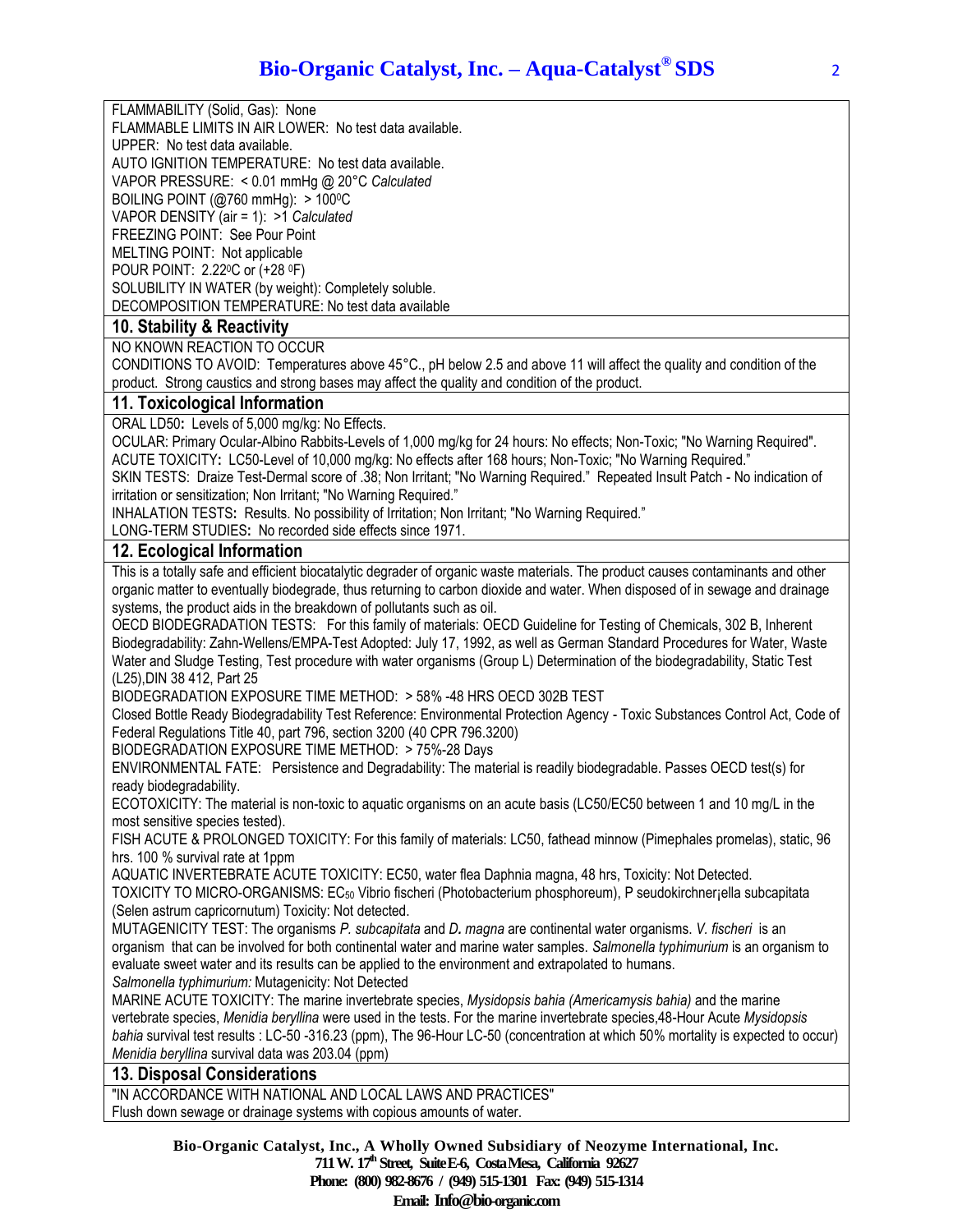FLAMMABILITY (Solid, Gas): None

FLAMMABLE LIMITS IN AIR LOWER: No test data available.

UPPER: No test data available.

AUTO IGNITION TEMPERATURE: No test data available.

VAPOR PRESSURE: < 0.01 mmHg @ 20°C *Calculated*

BOILING POINT ( $@760$  mmHg):  $>100$ <sup>o</sup>C

VAPOR DENSITY (air = 1): >1 *Calculated*

FREEZING POINT: See Pour Point

MELTING POINT: Not applicable

POUR POINT: 2.220C or (+28 <sup>0</sup>F)

SOLUBILITY IN WATER (by weight): Completely soluble.

DECOMPOSITION TEMPERATURE: No test data available

## **10. Stability & Reactivity**

NO KNOWN REACTION TO OCCUR

CONDITIONS TO AVOID: Temperatures above 45°C., pH below 2.5 and above 11 will affect the quality and condition of the product. Strong caustics and strong bases may affect the quality and condition of the product.

#### **11. Toxicological Information**

ORAL LD50**:** Levels of 5,000 mg/kg: No Effects.

OCULAR: Primary Ocular-Albino Rabbits-Levels of 1,000 mg/kg for 24 hours: No effects; Non-Toxic; "No Warning Required". ACUTE TOXICITY**:** LC50-Level of 10,000 mg/kg: No effects after 168 hours; Non-Toxic; "No Warning Required."

SKIN TESTS: Draize Test-Dermal score of .38; Non Irritant; "No Warning Required." Repeated Insult Patch - No indication of irritation or sensitization; Non Irritant; "No Warning Required."

INHALATION TESTS**:** Results. No possibility of Irritation; Non Irritant; "No Warning Required."

LONG-TERM STUDIES**:** No recorded side effects since 1971.

### **12. Ecological Information**

This is a totally safe and efficient biocatalytic degrader of organic waste materials. The product causes contaminants and other organic matter to eventually biodegrade, thus returning to carbon dioxide and water. When disposed of in sewage and drainage systems, the product aids in the breakdown of pollutants such as oil.

OECD BIODEGRADATION TESTS: For this family of materials: OECD Guideline for Testing of Chemicals, 302 B, Inherent Biodegradability: Zahn-Wellens/EMPA-Test Adopted: July 17, 1992, as well as German Standard Procedures for Water, Waste Water and Sludge Testing, Test procedure with water organisms (Group L) Determination of the biodegradability, Static Test (L25),DIN 38 412, Part 25

BIODEGRADATION EXPOSURE TIME METHOD: > 58% -48 HRS OECD 302B TEST

Closed Bottle Ready Biodegradability Test Reference: Environmental Protection Agency - Toxic Substances Control Act, Code of Federal Regulations Title 40, part 796, section 3200 (40 CPR 796.3200)

BIODEGRADATION EXPOSURE TIME METHOD: > 75%-28 Days

ENVIRONMENTAL FATE: Persistence and Degradability: The material is readily biodegradable. Passes OECD test(s) for ready biodegradability.

ECOTOXICITY: The material is non-toxic to aquatic organisms on an acute basis (LC50/EC50 between 1 and 10 mg/L in the most sensitive species tested).

FISH ACUTE & PROLONGED TOXICITY: For this family of materials: LC50, fathead minnow (Pimephales promelas), static, 96 hrs. 100 % survival rate at 1ppm

AQUATIC INVERTEBRATE ACUTE TOXICITY: EC50, water flea Daphnia magna, 48 hrs, Toxicity: Not Detected. TOXICITY TO MICRO-ORGANISMS: EC<sup>50</sup> Vibrio fischeri (Photobacterium phosphoreum), P seudokirchner¡ella subcapitata (Selen astrum capricornutum) Toxicity: Not detected.

MUTAGENICITY TEST: The organisms *P. subcapitata* and *D. magna* are continental water organisms. *V. fischeri* is an organism that can be involved for both continental water and marine water samples. *Salmonella typhimurium* is an organism to evaluate sweet water and its results can be applied to the environment and extrapolated to humans.

*Salmonella typhimurium:* Mutagenicity: Not Detected

MARINE ACUTE TOXICITY: The marine invertebrate species, *Mysidopsis bahia (Americamysis bahia)* and the marine vertebrate species, *Menidia beryllina* were used in the tests. For the marine invertebrate species,48-Hour Acute *Mysidopsis bahia* survival test results : LC-50 -316.23 (ppm), The 96-Hour LC-50 (concentration at which 50% mortality is expected to occur) *Menidia beryllina* survival data was 203.04 (ppm)

#### **13. Disposal Considerations**

"IN ACCORDANCE WITH NATIONAL AND LOCAL LAWS AND PRACTICES" Flush down sewage or drainage systems with copious amounts of water.

> **Bio-Organic Catalyst, Inc., A Wholly Owned Subsidiary of Neozyme International, Inc. 711 W. 17th Street, SuiteE-6, CostaMesa, California 92627 Phone: (800) 982-8676 / (949) 515-1301 Fax: (949) 515-1314 Email: Info@bio-organic.com**